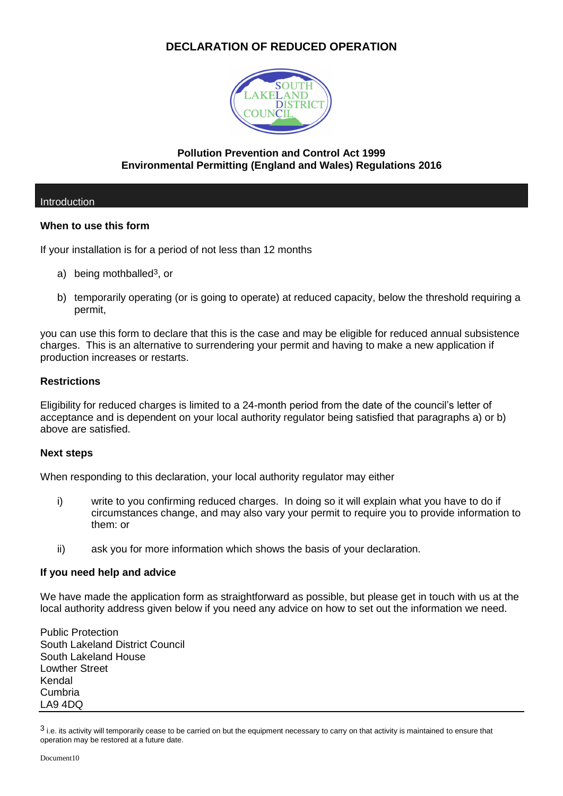# **DECLARATION OF REDUCED OPERATION**



## **Pollution Prevention and Control Act 1999 Environmental Permitting (England and Wales) Regulations 2016**

## Introduction

## **When to use this form**

If your installation is for a period of not less than 12 months

- a) being mothballed<sup>3</sup>, or
- b) temporarily operating (or is going to operate) at reduced capacity, below the threshold requiring a permit,

you can use this form to declare that this is the case and may be eligible for reduced annual subsistence charges. This is an alternative to surrendering your permit and having to make a new application if production increases or restarts.

## **Restrictions**

Eligibility for reduced charges is limited to a 24-month period from the date of the council's letter of acceptance and is dependent on your local authority regulator being satisfied that paragraphs a) or b) above are satisfied.

## **Next steps**

When responding to this declaration, your local authority regulator may either

- i) write to you confirming reduced charges. In doing so it will explain what you have to do if circumstances change, and may also vary your permit to require you to provide information to them: or
- ii) ask you for more information which shows the basis of your declaration.

## **If you need help and advice**

We have made the application form as straightforward as possible, but please get in touch with us at the local authority address given below if you need any advice on how to set out the information we need.

Public Protection South Lakeland District Council South Lakeland House Lowther Street Kendal Cumbria LA9 4DQ

 $3$  i.e. its activity will temporarily cease to be carried on but the equipment necessary to carry on that activity is maintained to ensure that operation may be restored at a future date.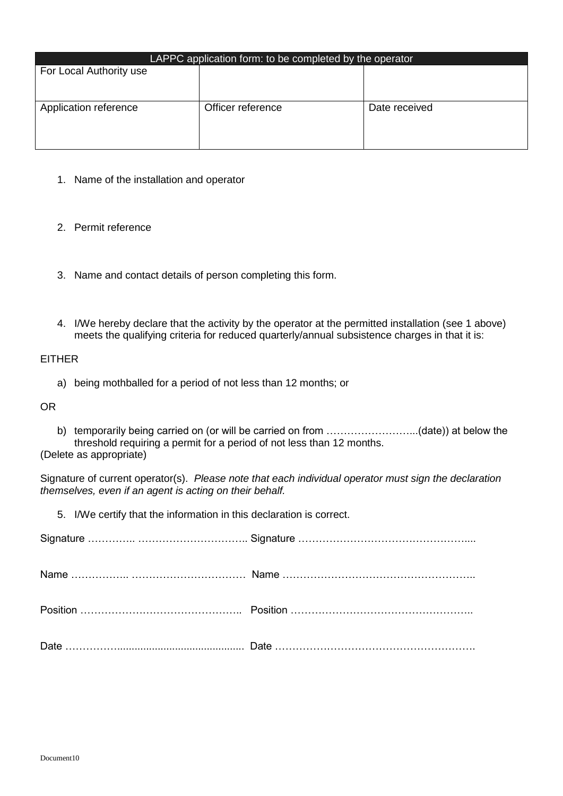| LAPPC application form: to be completed by the operator |                   |               |
|---------------------------------------------------------|-------------------|---------------|
| For Local Authority use                                 |                   |               |
|                                                         |                   |               |
|                                                         |                   |               |
| Application reference                                   | Officer reference | Date received |
|                                                         |                   |               |
|                                                         |                   |               |
|                                                         |                   |               |

- 1. Name of the installation and operator
- 2. Permit reference
- 3. Name and contact details of person completing this form.
- 4. I/We hereby declare that the activity by the operator at the permitted installation (see 1 above) meets the qualifying criteria for reduced quarterly/annual subsistence charges in that it is:

EITHER

a) being mothballed for a period of not less than 12 months; or

OR

b) temporarily being carried on (or will be carried on from ...............................(date)) at below the threshold requiring a permit for a period of not less than 12 months.

(Delete as appropriate)

Signature of current operator(s). *Please note that each individual operator must sign the declaration themselves, even if an agent is acting on their behalf.*

5. I/We certify that the information in this declaration is correct.